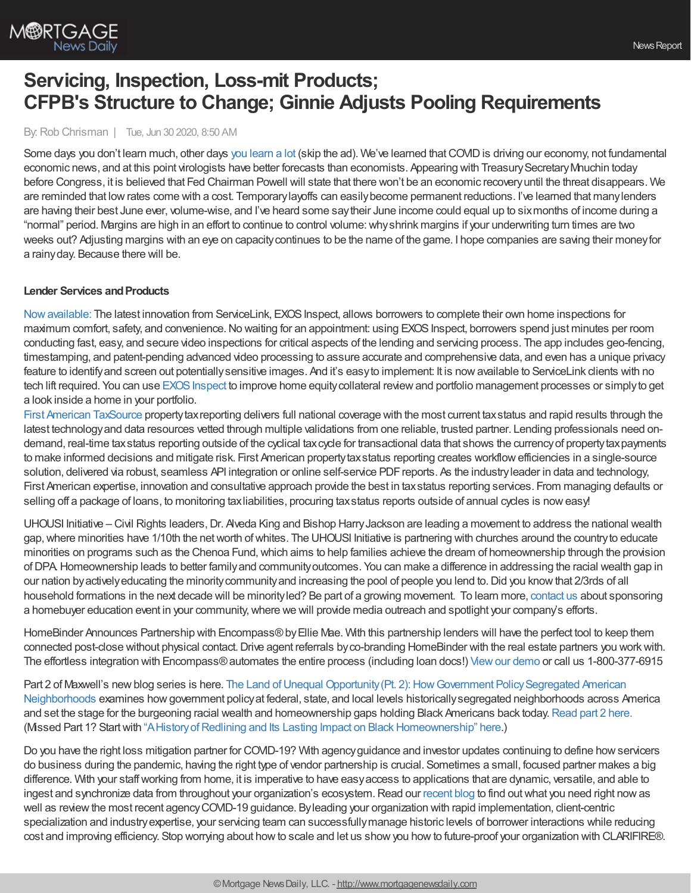

# **Servicing, Inspection, Loss-mit Products; CFPB's Structure to Change; Ginnie Adjusts Pooling Requirements**

## By:Rob Chrisman | Tue, Jun 30 2020, 8:50 AM

Some days you don't [learn](https://www.youtube.com/watch?v=1wXs_1V7KiA) much, other days you learn a lot (skip the ad). We've learned that COVID is driving our economy, not fundamental economic news, and at this point virologists have better forecasts than economists. Appearing with Treasury Secretary Mnuchin today before Congress, it is believed that Fed Chairman Powell will state that there won't be an economic recoveryuntil the threat disappears. We are reminded that lowrates come with a cost. Temporarylayoffs can easilybecome permanent reductions. I've learned that manylenders are having their best June ever, volume-wise, and I've heard some saytheir June income could equal up to sixmonths of income during a "normal" period. Margins are high in an effort to continue to control volume:whyshrink margins if your underwriting turn times are two weeks out? Adjusting margins with an eye on capacity continues to be the name of the game. I hope companies are saving their money for a rainyday. Because there will be.

## **Lender Services and Products**

Now available: The latest innovation from ServiceLink, EXOS Inspect, allows borrowers to complete their own home inspections for maximum comfort, safety, and convenience.No waiting for an appointment: using EXOSInspect, borrowers spend just minutes per room conducting fast, easy, and secure video inspections for critical aspects of the lending and servicing process. The app includes geo-fencing, timestamping, and patent-pending advanced video processing to assure accurate and comprehensive data, and even has a unique privacy feature to identify and screen out potentially sensitive images. And it's easy to implement: It is now available to ServiceLink clients with no tech lift required. You can use EXOS Inspect to improve home equity collateral review and portfolio management processes or simply to get a look inside a home in your portfolio.

First American [TaxSource](http://datatree.com/taxsource) property tax reporting delivers full national coverage with the most current tax status and rapid results through the latest technologyand data resources vetted through multiple validations from one reliable, trusted partner. Lending professionals need ondemand, real-time tax status reporting outside of the cyclical tax cycle for transactional data that shows the currency of property tax payments to make informed decisions and mitigate risk. First American propertytaxstatus reporting creates workflowefficiencies in a single-source solution, delivered via robust, seamless API integration or online self-service PDF reports. As the industry leader in data and technology, First American expertise, innovation and consultative approach provide the best in taxstatus reporting services. From managing defaults or selling off a package of loans, to monitoring taxliabilities, procuring tax status reports outside of annual cycles is now easy!

UHOUSI Initiative – Civil Rights leaders, Dr. Alveda King and Bishop Harry Jackson are leading a movement to address the national wealth gap,where minorities have 1/10th the networth ofwhites. The UHOUSI Initiative is partnering with churches around the countryto educate minorities on programs such as the Chenoa Fund, which aims to help families achieve the dream of homeownership through the provision ofDPA.Homeownership leads to better familyand communityoutcomes. You can make a difference in addressing the racial wealth gap in our nation byactivelyeducating the minoritycommunityand increasing the pool of people you lend to.Did you knowthat 2/3rds of all household formations in the next decade will be minorityled? Be part of a growing movement. To learn more, [contact](https://www.uhousi.com/) us about sponsoring a homebuyer education event in your community, where we will provide media outreach and spotlight your company's efforts.

HomeBinder Announces Partnership with Encompass® by Ellie Mae. With this partnership lenders will have the perfect tool to keep them connected post-close without physical contact.Drive agent referrals byco-branding HomeBinder with the real estate partners you workwith. The effortless integration with Encompass®automates the entire process (including loan docs!) [Viewour](https://hubs.ly/H0r_zFF0) demo or call us 1-800-377-6915

Part 2 of Maxwell's new blog series is here. The Land of Unequal Opportunity (Pt. 2): How Government Policy Segregated American Neighborhoods examines howgovernment policyat federal, state, and local levels [historicallysegregated](https://himaxwell.com/blog/the-land-of-unequal-opportunity-pt-2-how-government-policy-segregated-american-neighborhoods/?utm_source=RC) neighborhoods across America and set the stage for the burgeoning racial wealth and homeownership gaps holding Black Americans back today. [Read](https://himaxwell.com/blog/the-land-of-unequal-opportunity-pt-2-how-government-policy-segregated-american-neighborhoods/) part 2 here. (Missed Part 1? Start with "A History of Redlining and Its Lasting Impact on Black Homeownership" here.)

Do you have the right loss mitigation partner for COVID-19? With agencyguidance and investor updates continuing to define howservicers do business during the pandemic, having the right type of vendor partnership is crucial. Sometimes a small, focused partner makes a big difference. With your staffworking from home, it is imperative to have easyaccess to applications that are dynamic, versatile, and able to ingest and synchronize data from throughout your organization's ecosystem. Read our [recent](https://blog.eclarifire.com/do-you-have-right-loss-mitigation-partner-for-covid-19) blog to find out what you need right now as well as review the most recent agency COVID-19 guidance. By leading your organization with rapid implementation, client-centric specialization and industryexpertise, your servicing team can successfullymanage historic levels of borrower interactions while reducing cost and improving efficiency. Stop worrying about howto scale and let us showyou howto future-proof your organization with CLARIFIRE®.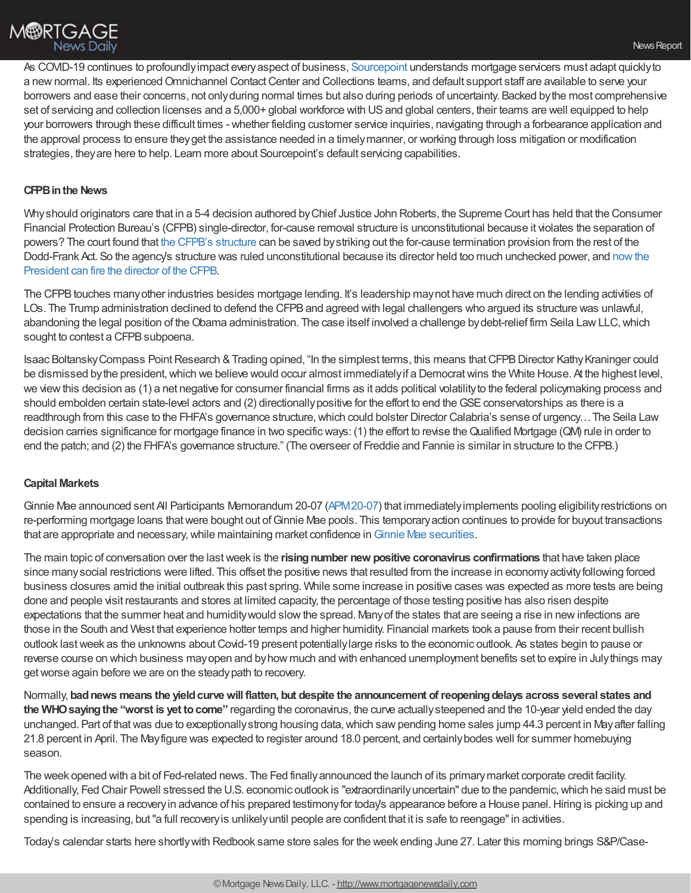As COVID-19 continues to profoundlyimpact everyaspect of business, [Sourcepoint](https://www.sourcepointmortgage.com/) understands mortgage servicers must adapt quicklyto a new normal. Its experienced Omnichannel Contact Center and Collections teams, and default support staff are available to serve your borrowers and ease their concerns, not onlyduring normal times but also during periods of uncertainty. Backed bythe most comprehensive set of servicing and collection licenses and a 5,000+ global workforce with US and global centers, their teams are well equipped to help your borrowers through these difficult times - whether fielding customer service inquiries, navigating through a forbearance application and the approval process to ensure theyget the assistance needed in a timelymanner, or working through loss mitigation or modification strategies, theyare here to help. Learn more about Sourcepoint's default servicing capabilities.

## **CFPBinthe News**

Whyshould originators care that in a 5-4 decision authored byChief Justice John Roberts, the Supreme Court has held that the Consumer Financial Protection Bureau's (CFPB) single-director, for-cause removal structure is unconstitutional because it violates the separation of powers? The court found that the CFPB's [structure](https://www.wsj.com/articles/supreme-court-orders-restructuring-of-consumer-financial-protection-bureau-11593441215?emailToken=7e611b1676528442a8d72f2f3c9da9b6PTvyYugTjgN3JiZghe0dIDewqfxbODdE37hokMDdxsPm9vXf/lehbEbENUEDo+NAFRpUozioJ7Xf01mlOAsfCo/8GW+7Z5sgF+qxkSbrUANXJI09/HI5QoEoFTnQeAtemZ62EW8we4NNCUis4qryYQ%253D%253D&reflink=article_email_share) can be saved bystriking out the for-cause termination provision from the rest of the Dodd-Frank Act. So the agency's structure was ruled [unconstitutional](https://www.npr.org/2020/06/29/882519237/supreme-court-gives-president-power-to-fire-key-independent-agency-chief) because its director held too much unchecked power, and now the President can fire the director of the CFPB.

The CFPB touches many other industries besides mortgage lending. It's leadership may not have much direct on the lending activities of LOs. The Trump administration declined to defend the CFPB and agreed with legal challengers who argued its structure was unlawful, abandoning the legal position of the Obama administration. The case itself involved a challenge by debt-relief firm Seila Law LLC, which sought to contest a CFPB subpoena.

Isaac Boltansky Compass Point Research & Trading opined, "In the simplest terms, this means that CFPB Director Kathy Kraninger could be dismissed by the president, which we believe would occur almost immediately if a Democrat wins the White House. At the highest level, we viewthis decision as (1) a net negative for consumer financial firms as it adds political volatilityto the federal policymaking process and should embolden certain state-level actors and (2) directionally positive for the effort to end the GSE conservatorships as there is a readthrough from this case to the FHFA's governance structure, which could bolster Director Calabria's sense of urgency... The Seila Law decision carries significance for mortgage finance in two specificways: (1) the effort to revise theQualified Mortgage (QM) rule in order to end the patch; and (2) the FHFA's governance structure." (The overseer of Freddie and Fannie is similar in structure to the CFPB.)

## **Capital Markets**

Ginnie Mae announced sent All Participants Memorandum 20-07 [\(APM20-07](https://www.ginniemae.gov/issuers/program_guidelines/Pages/mostrecentapms.aspx)) that immediately implements pooling eligibility restrictions on re-performing mortgage loans thatwere bought out ofGinnie Mae pools. This temporaryaction continues to provide for buyout transactions that are appropriate and necessary, while maintaining market confidence in Ginnie Mae [securities.](https://www.ginniemae.gov/newsroom/GinnieInBrief/Pages/default.aspx)

The main topic of conversation over the lastweek is the **risingnumber new positive coronavirus confirmations** that have taken place since many social restrictions were lifted. This offset the positive news that resulted from the increase in economy activity following forced business closures amid the initial outbreak this past spring. While some increase in positive cases was expected as more tests are being done and people visit restaurants and stores at limited capacity, the percentage of those testing positive has also risen despite expectations that the summer heat and humiditywould slowthe spread. Manyof the states that are seeing a rise in newinfections are those in the South and West that experience hotter temps and higher humidity. Financial markets took a pause from their recent bullish outlook lastweek as the unknowns aboutCovid-19 present potentiallylarge risks to the economic outlook. As states begin to pause or reverse course on which business mayopen and byhow much and with enhanced unemployment benefits set to expire in Julythings may getworse again before we are on the steadypath to recovery.

Normally, **badnews means the yieldcurvewill flatten, but despite the announcement ofreopeningdelays across several states and the WHOsayingthe "worst is yet tocome"** regarding the coronavirus, the curve actuallysteepened and the 10-year yield ended the day unchanged. Part of that was due to exceptionally strong housing data, which saw pending home sales jump 44.3 percent in May after falling 21.8 percent in April. The Mayfigure was expected to register around 18.0 percent, and certainlybodes well for summer homebuying season.

The week opened with a bit of Fed-related news. The Fed finallyannounced the launch of its primarymarket corporate credit facility. Additionally, Fed Chair Powell stressed the U.S. economic outlook is "extraordinarily uncertain" due to the pandemic, which he said must be contained to ensure a recoveryin advance of his prepared testimonyfor today's appearance before a House panel.Hiring is picking up and spending is increasing, but "a full recovery is unlikely until people are confident that it is safe to reengage" in activities.

Today's calendar starts here shortlywith Redbook same store sales for the week ending June 27. Later this morning brings S&P/Case-